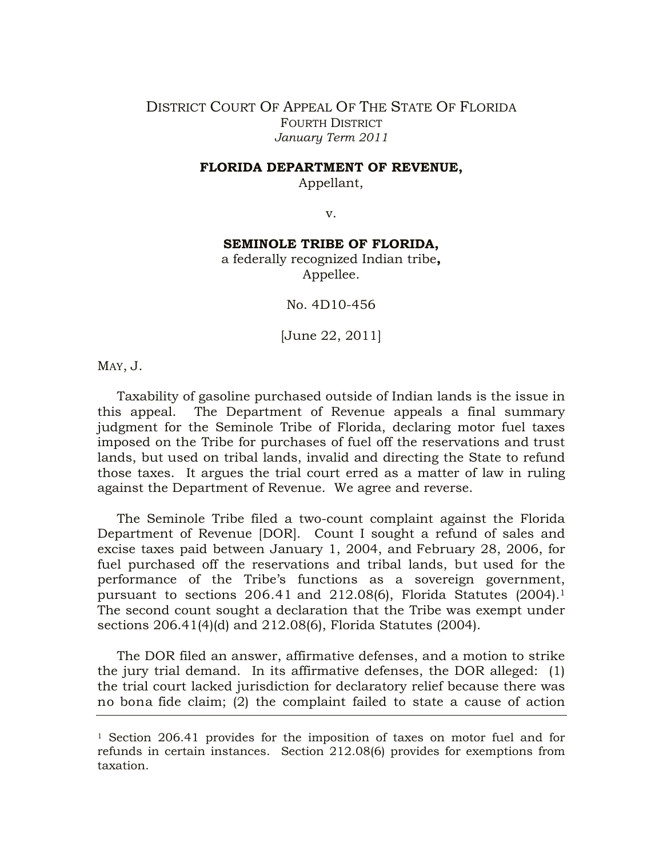## DISTRICT COURT OF APPEAL OF THE STATE OF FLORIDA FOURTH DISTRICT *January Term 2011*

## **FLORIDA DEPARTMENT OF REVENUE,**

Appellant,

v.

## **SEMINOLE TRIBE OF FLORIDA,**

a federally recognized Indian tribe**,** Appellee.

No. 4D10-456

[June 22, 2011]

MAY, J.

Taxability of gasoline purchased outside of Indian lands is the issue in this appeal. The Department of Revenue appeals a final summary judgment for the Seminole Tribe of Florida, declaring motor fuel taxes imposed on the Tribe for purchases of fuel off the reservations and trust lands, but used on tribal lands, invalid and directing the State to refund those taxes. It argues the trial court erred as a matter of law in ruling against the Department of Revenue. We agree and reverse.

The Seminole Tribe filed a two-count complaint against the Florida Department of Revenue [DOR]. Count I sought a refund of sales and excise taxes paid between January 1, 2004, and February 28, 2006, for fuel purchased off the reservations and tribal lands, but used for the performance of the Tribe's functions as a sovereign government, pursuant to sections 206.41 and 212.08(6), Florida Statutes (2004).<sup>1</sup> The second count sought a declaration that the Tribe was exempt under sections 206.41(4)(d) and 212.08(6), Florida Statutes (2004).

The DOR filed an answer, affirmative defenses, and a motion to strike the jury trial demand. In its affirmative defenses, the DOR alleged: (1) the trial court lacked jurisdiction for declaratory relief because there was no bona fide claim; (2) the complaint failed to state a cause of action

<sup>1</sup> Section 206.41 provides for the imposition of taxes on motor fuel and for refunds in certain instances. Section 212.08(6) provides for exemptions from taxation.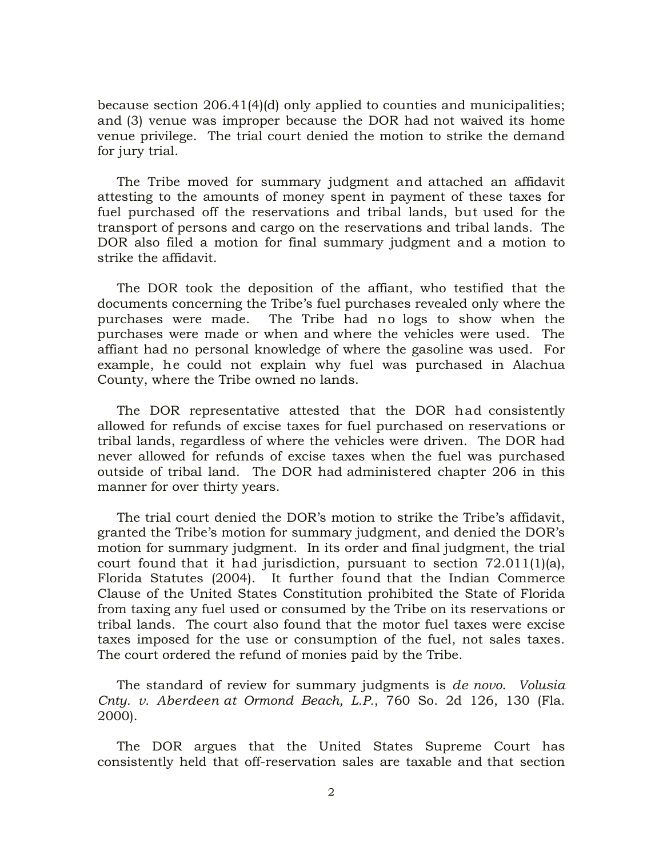because section 206.41(4)(d) only applied to counties and municipalities; and (3) venue was improper because the DOR had not waived its home venue privilege. The trial court denied the motion to strike the demand for jury trial.

The Tribe moved for summary judgment and attached an affidavit attesting to the amounts of money spent in payment of these taxes for fuel purchased off the reservations and tribal lands, but used for the transport of persons and cargo on the reservations and tribal lands. The DOR also filed a motion for final summary judgment and a motion to strike the affidavit.

The DOR took the deposition of the affiant, who testified that the documents concerning the Tribe's fuel purchases revealed only where the purchases were made. The Tribe had no logs to show when the purchases were made or when and where the vehicles were used. The affiant had no personal knowledge of where the gasoline was used. For example, he could not explain why fuel was purchased in Alachua County, where the Tribe owned no lands.

The DOR representative attested that the DOR had consistently allowed for refunds of excise taxes for fuel purchased on reservations or tribal lands, regardless of where the vehicles were driven. The DOR had never allowed for refunds of excise taxes when the fuel was purchased outside of tribal land. The DOR had administered chapter 206 in this manner for over thirty years.

The trial court denied the DOR's motion to strike the Tribe's affidavit, granted the Tribe's motion for summary judgment, and denied the DOR's motion for summary judgment. In its order and final judgment, the trial court found that it had jurisdiction, pursuant to section 72.011(1)(a), Florida Statutes (2004). It further found that the Indian Commerce Clause of the United States Constitution prohibited the State of Florida from taxing any fuel used or consumed by the Tribe on its reservations or tribal lands. The court also found that the motor fuel taxes were excise taxes imposed for the use or consumption of the fuel, not sales taxes. The court ordered the refund of monies paid by the Tribe.

The standard of review for summary judgments is *de novo*. *Volusia Cnty. v. Aberdeen at Ormond Beach, L.P.*, 760 So. 2d 126, 130 (Fla. 2000).

The DOR argues that the United States Supreme Court has consistently held that off-reservation sales are taxable and that section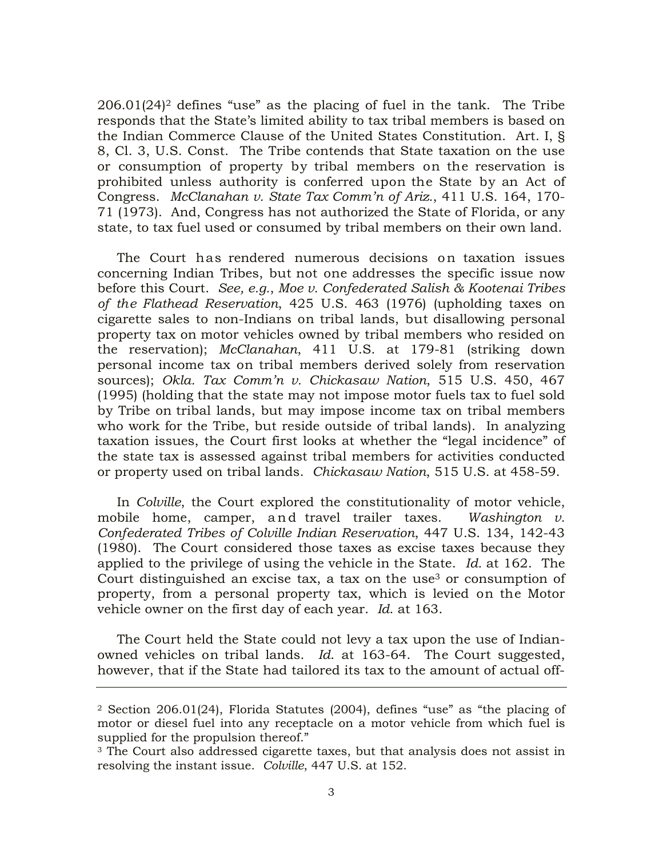$206.01(24)^2$  defines "use" as the placing of fuel in the tank. The Tribe responds that the State's limited ability to tax tribal members is based on the Indian Commerce Clause of the United States Constitution. Art. I, § 8, Cl. 3, U.S. Const. The Tribe contends that State taxation on the use or consumption of property by tribal members on the reservation is prohibited unless authority is conferred upon the State by an Act of Congress. *McClanahan v. State Tax Comm'n of Ariz.*, 411 U.S. 164, 170- 71 (1973). And, Congress has not authorized the State of Florida, or any state, to tax fuel used or consumed by tribal members on their own land.

The Court has rendered numerous decisions on taxation issues concerning Indian Tribes, but not one addresses the specific issue now before this Court. *See, e.g.*, *Moe v. Confederated Salish & Kootenai Tribes of the Flathead Reservation*, 425 U.S. 463 (1976) (upholding taxes on cigarette sales to non-Indians on tribal lands, but disallowing personal property tax on motor vehicles owned by tribal members who resided on the reservation); *McClanahan*, 411 U.S. at 179-81 (striking down personal income tax on tribal members derived solely from reservation sources); *Okla. Tax Comm'n v. Chickasaw Nation*, 515 U.S. 450, 467 (1995) (holding that the state may not impose motor fuels tax to fuel sold by Tribe on tribal lands, but may impose income tax on tribal members who work for the Tribe, but reside outside of tribal lands). In analyzing taxation issues, the Court first looks at whether the "legal incidence" of the state tax is assessed against tribal members for activities conducted or property used on tribal lands. *Chickasaw Nation*, 515 U.S. at 458-59.

In *Colville*, the Court explored the constitutionality of motor vehicle, mobile home, camper, and travel trailer taxes. *Washington v. Confederated Tribes of Colville Indian Reservation*, 447 U.S. 134, 142-43 (1980). The Court considered those taxes as excise taxes because they applied to the privilege of using the vehicle in the State. *Id.* at 162. The Court distinguished an excise tax, a tax on the use<sup>3</sup> or consumption of property, from a personal property tax, which is levied on the Motor vehicle owner on the first day of each year. *Id*. at 163.

The Court held the State could not levy a tax upon the use of Indianowned vehicles on tribal lands. *Id*. at 163-64. The Court suggested, however, that if the State had tailored its tax to the amount of actual off-

<sup>2</sup> Section 206.01(24), Florida Statutes (2004), defines "use" as "the placing of motor or diesel fuel into any receptacle on a motor vehicle from which fuel is supplied for the propulsion thereof."

<sup>3</sup> The Court also addressed cigarette taxes, but that analysis does not assist in resolving the instant issue. *Colville*, 447 U.S. at 152.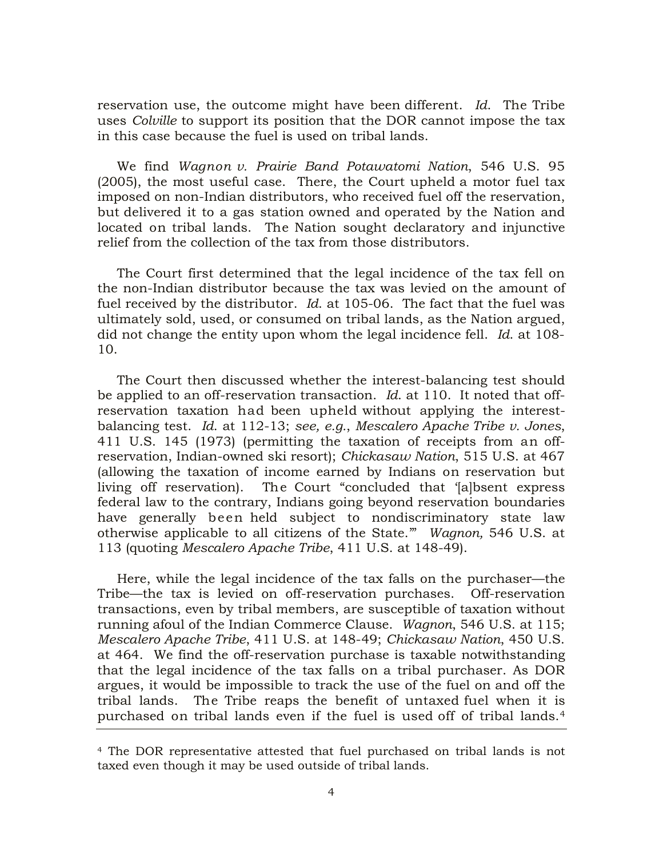reservation use, the outcome might have been different. *Id*. The Tribe uses *Colville* to support its position that the DOR cannot impose the tax in this case because the fuel is used on tribal lands.

We find *Wagnon v. Prairie Band Potawatomi Nation*, 546 U.S. 95 (2005), the most useful case. There, the Court upheld a motor fuel tax imposed on non-Indian distributors, who received fuel off the reservation, but delivered it to a gas station owned and operated by the Nation and located on tribal lands. The Nation sought declaratory and injunctive relief from the collection of the tax from those distributors.

The Court first determined that the legal incidence of the tax fell on the non-Indian distributor because the tax was levied on the amount of fuel received by the distributor. *Id*. at 105-06. The fact that the fuel was ultimately sold, used, or consumed on tribal lands, as the Nation argued, did not change the entity upon whom the legal incidence fell. *Id*. at 108- 10.

The Court then discussed whether the interest-balancing test should be applied to an off-reservation transaction. *Id*. at 110. It noted that offreservation taxation had been upheld without applying the interestbalancing test. *Id*. at 112-13; *see, e.g.*, *Mescalero Apache Tribe v. Jones*, 411 U.S. 145 (1973) (permitting the taxation of receipts from an offreservation, Indian-owned ski resort); *Chickasaw Nation*, 515 U.S. at 467 (allowing the taxation of income earned by Indians on reservation but living off reservation). The Court "concluded that '[a]bsent express federal law to the contrary, Indians going beyond reservation boundaries have generally been held subject to nondiscriminatory state law otherwise applicable to all citizens of the State.'" *Wagnon,* 546 U.S. at 113 (quoting *Mescalero Apache Tribe*, 411 U.S. at 148-49).

Here, while the legal incidence of the tax falls on the purchaser—the Tribe—the tax is levied on off-reservation purchases. Off-reservation transactions, even by tribal members, are susceptible of taxation without running afoul of the Indian Commerce Clause. *Wagnon*, 546 U.S. at 115; *Mescalero Apache Tribe*, 411 U.S. at 148-49; *Chickasaw Nation*, 450 U.S. at 464. We find the off-reservation purchase is taxable notwithstanding that the legal incidence of the tax falls on a tribal purchaser. As DOR argues, it would be impossible to track the use of the fuel on and off the tribal lands. The Tribe reaps the benefit of untaxed fuel when it is purchased on tribal lands even if the fuel is used off of tribal lands.<sup>4</sup>

<sup>4</sup> The DOR representative attested that fuel purchased on tribal lands is not taxed even though it may be used outside of tribal lands.